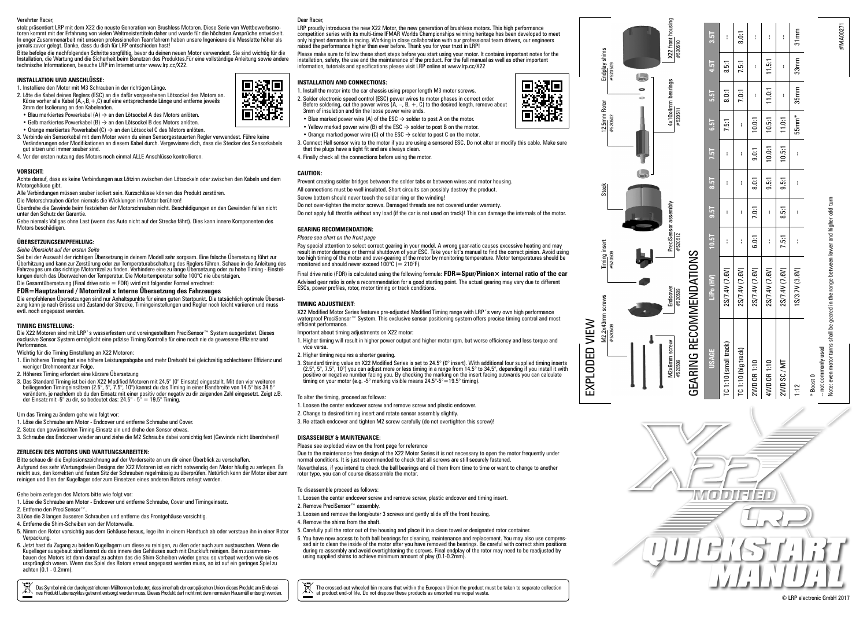#### Verehrter Racer,

stolz präsentiert LRP mit dem X22 die neuste Generation von Brushless Motoren. Diese Serie von Wettbewerbsmotoren kommt mit der Erfahrung von vielen Weltmeistertiteln daher und wurde für die höchsten Ansprüche entwickelt. In enger Zusammenarbeit mit unseren professionellen Teamfahrern haben unsere Ingenieure die Messlatte höher als jemals zuvor gelegt. Danke, dass du dich für LRP entschieden hast!

Bitte befolge die nachfolgenden Schritte sorgfältig, bevor du deinen neuen Motor verwendest. Sie sind wichtig für die Installation, die Wartung und die Sicherheit beim Benutzen des Produktes.Für eine vollständige Anleitung sowie andere technische Informationen, besuche LRP im Internet unter www.lrp.cc/X22.

## **INSTALLATION UND ANSCHLÜSSE:**

1. Installiere den Motor mit M3 Schrauben in der richtigen Länge.

- 2. Löte die Kabel deines Reglers (ESC) an die dafür vorgesehenen Lötsockel des Motors an.
- Kürze vorher alle Kabel ( $\overrightarrow{A}$ ,  $\cdot$ ,  $B$ ,  $\dot{+}$ ,  $C$ ) auf eine entsprechende Länge und entferne jeweils 3mm der Isolierung an den Kabelenden.
- Blau markiertes Powerkabel (A) → an den Lötsockel A des Motors anlöten.
- Gelb markiertes Powerkabel (B) → an den Lötsockel B des Motors anlöten.
- Orange markiertes Powerkabel (C) → an den Lötsockel C des Motors anlöten.
- 3. Verbinde ein Sensorkabel mit dem Motor wenn du einen Sensorgesteuerten Regler verwendest. Führe keine Veränderungen oder Modifikationen an diesem Kabel durch. Vergewisere dich, dass die Stecker des Sensorkabels gut sitzen und immer sauber sind.
- 4. Vor der ersten nutzung des Motors noch einmal ALLE Anschlüsse kontrollieren.

## **VORSICHT:**

Achte darauf, dass es keine Verbindungen aus Lötzinn zwischen den Lötsockeln oder zwischen den Kabeln und dem Motorgehäuse gibt.

Alle Verbindungen müssen sauber isoliert sein. Kurzschlüsse können das Produkt zerstören.

Die Motorschrauben dürfen niemals die Wicklungen im Motor berühren! Überdrehe die Gewinde beim festziehen der Motorschrauben nicht. Beschädigungen an den Gewinden fallen nicht unter den Schutz der Garantie.

Gebe niemals Vollgas ohne Last (wenn das Auto nicht auf der Strecke fährt). Dies kann innere Komponenten des Motors beschädigen

### **ÜBERSETZUNGSEMPFEHLUNG:**

*Siehe Übersicht auf der ersten Seite*

Sei bei der Auswahl der richtigen Übersetzung in deinem Modell sehr sorgsam. Eine falsche Übersetzung führt zur Überhitzung und kann zur Zerstörung oder zur Temperaturabschaltung des Reglers führen. Schaue in die Anleitung des lungen durch das Überwachen der Temperatur. Die Motortemperatur sollte 100°C nie übersteigen. Die Gesamtübersetzung (Final drive ratio = FDR) wird mit folgender Formel errechnet:

# **FDR=Hauptzahnrad / Motorritzel x Interne Übersetzung des Fahrzeuges**

Die empfohlenen Übersetzungen sind nur Anhaltspunkte für einen guten Startpunkt. Die tatsächlich optimale Übersetzung kann je nach Grösse und Zustand der Strecke, Timingeinstellungen und Regler noch leicht variieren und muss evtl. noch angepasst werden.

#### **TIMING EINSTELLUNG:**

Die X22 Motoren sind mit LRP`s wasserfestem und voreingestelltem PreciSensor™ System ausgerüstet. Dieses<br>exclusive Sensor System ermöglicht eine präzise Timing Kontrolle für eine noch nie da gewesene Effizienz und **Performance** 

Wichtig für die Timing Einstellung an X22 Motoren:

- 1. Ein höheres Timing hat eine höhere Leistungsabgabe und mehr Drehzahl bei gleichzeitig schlechterer Effizienz und weniger Drehmonent zur Folge.
- 2. Höheres Timing erfordert eine kürzere Übersetzung
- 3. Das Standard Timing ist bei den X22 Modified Motoren mit 24.5° (0° Einsatz) eingestellt. Mit den vier weiteren beiliegenden Timingeinsätzen (2.5°, 5°, 7.5°, 10°) kannst du das Timing in einer Bandbreite von 14.5° bis 34.5° verändern, je nachdem ob du den Einsatz mit einer positiv oder negativ zu dir zeigenden Zahl eingesetzt. Zeigt z.B. der Einsatz mit -5° zu dir, so bedeutet das: 24.5° - 5° = 19.5° Timing

## Um das Timing zu ändern gehe wie folgt vor:

- 1. Löse die Schraube am Motor Endcover und entferne Schraube und Cover.
- 2. Setze den gewünschten Timing-Einsatz ein und drehe den Sensor etwas.
- 3. Schraube das Endcover wieder an und ziehe die M2 Schraube dabei vorsichtig fest (Gewinde nicht überdrehen)!

### **ZERLEGEN DES MOTORS UND WARTUNGSARBEITEN:**

Bitte schaue dir die Explosionszeichnung auf der Vorderseite an um dir einen Überblick zu verschaffen. Aufgrund des sehr Wartungsfreien Designs der X22 Motoren ist es nicht notwendig den Motor häufig zu zerlegen. Es reicht aus, den korrekten und festen Sitz der Schrauben regelmässig zu überprüfen. Natürlich kann der Motor aber zum reinigen und ölen der Kugellager oder zum Einsetzen eines anderen Rotors zerlegt werden.

#### Gehe beim zerlegen des Motors bitte wie folgt vor:

1. Löse die Schraube am Motor - Endcover und entferne Schraube, Cover und Timingeinsatz. 2. Entferne den PreciSensor™.

- 3.Löse die 3 langen äusseren Schrauben und entferne das Frontgehäuse vorsichtig.
- 4. Entferne die Shim-Scheiben von der Motorwelle.

 $\boxtimes$ 

- 5. Nimm den Rotor vorsichtig aus dem Gehäuse heraus, lege ihn in einem Handtuch ab oder verstaue ihn in einer Rotor Vernackung
- 6. Jetzt hast du Zugang zu beiden Kugellagern um diese zu reinigen, zu ölen oder auch zum austauschen. Wenn die Kugellager ausgebaut sind kannst du das innere des Gehäuses auch mit Druckluft reinigen. Beim zusammenbauen des Motors ist dann darauf zu achten das die Shim-Scheiben wieder genau so verbaut werden wie sie es ursprünglich waren. Wenn das Spiel des Rotors erneut angepasst werden muss, so ist auf ein geringes Spiel zu achten (0.1 - 0.2mm).

Das Symbol mit der durchgestrichenen Mülltonnen bedeutet, dass innerhalb der europäischen Union dieses Produkt am Ende seines Produkt Lebenszyklus getrennt entsorgt werden muss. Dieses Produkt darf nicht mit dem normalen Hausmüll entsorgt werden.

#### Dear Racer,

回荡回 īP

怒我

LRP proudly introduces the new X22 Motor, the new generation of brushless motors. This high performance competition series with its multi-time IFMAR Worlds Championships winning heritage has been developed to meet only highest demands in racing. Working in close collaboration with our professional team drivers, our engineers raised the performance higher than ever before. Thank you for your trust in LRP!

Please make sure to follow these short steps before you start using your motor. It contains important notes for the installation, safety, the use and the maintenance of the product. For the full manual as well as other important information, tutorials and specifications please visit LRP online at www.lrp.cc/X22

# **INSTALLATION AND CONNECTIONS:**

- 1. Install the motor into the car chassis using proper length M3 motor screws.
- 2. Solder electronic speed control (ESC) power wires to motor phases in correct order. Before soldering, cut the power wires  $(A, -, B, +, C)$  to the desired length, remove about
- 3mm of insulation and tin the loose power wire ends.
- Yellow marked power wire (B) of the ESC  $\rightarrow$  solder to post B on the motor.
- Orange marked power wire (C) of the ESC  $\rightarrow$  solder to post C on the motor.
- 3. Connect Hall sensor wire to the motor if you are using a sensored ESC. Do not alter or modify this cable. Make sure that the plugs have a tight fit and are always clean.
- 

## **CAUTION:**

- Prevent creating solder bridges between the solder tabs or between wires and motor housing.
- All connections must be well insulated. Short circuits can possibly destroy the product.
- Screw bottom should never touch the solder ring or the winding!
- Do not over-tighten the motor screws. Damaged threads are not covered under warranty.
- Do not apply full throttle without any load (if the car is not used on track)! This can damage the internals of the motor.

## **GEARING RECOMMENDATION:**

# *Please see chart on the front page*

Pay special attention to select correct gearing in your model. A wrong gear-ratio causes excessive heating and may result in motor damage or thermal shutdown of your ESC. Take your kit's manual to find the correct pinion. Avoid using too high timing of the motor and over-gearing of the motor by monitoring temperature. Motor temperatures should be monitored and should never exceed  $100^{\circ}$ C (= 210°F).

Final drive ratio (FDR) is calculated using the following formula: **FDR=Spur/Pinion × internal ratio of the car** 

Advised gear ratio is only a recommendation for a good starting point. The actual gearing may vary due to different ESCs, power profiles, rotor, motor timing or track conditions.

# **TIMING ADJUSTMENT:**

X22 Modified Motor Series features pre-adjusted Modified Timing range with LRP´s very own high performance waterproof PreciSensor™ System. This exclusive sensor positioning system offers precise timing control and most efficient performance.

- Important about timing adjustments on X22 motor:
- 1. Higher timing will result in higher power output and higher motor rpm, but worse efficiency and less torque and vice versa.
- 2. Higher timing requires a shorter gearing.
- 
- 3. Standard timing value on X22 Modified Series is set to 24.5° (0° insert). With additional four supplied timing inserts (2.5°, 5°, 7.5°, 10°) you can adjust more or less timing in a range from 14.5° to 34.5°, depending if you install it with positive or negative number facing you. By checking the marking on the insert facing outwards you can calculate timing on your motor (e.g. -5° marking visible means 24.5°-5°=19.5° timing).

To alter the timing, proceed as follows:

- 1. Loosen the center endcover screw and remove screw and plastic endcover.
- 2. Change to desired timing insert and rotate sensor assembly slightly.
- 3. Re-attach endcover and tighten M2 screw carefully (do not overtighten this screw)!

#### **DISASSEMBLY & MAINTENANCE:**

Please see exploded view on the front page for reference

Due to the maintenance free design of the X22 Motor Series it is not necessary to open the motor frequently under normal conditions. It is just recommended to check that all screws are still securely fastened.

Nevertheless, if you intend to check the ball bearings and oil them from time to time or want to change to another rotor type, you can of course disassemble the motor.

#### To disassemble proceed as follows:

- 1. Loosen the center endcover screw and remove screw, plastic endcover and timing insert.
- 2. Remove PreciSensor™ assembly.
- 3. Loosen and remove the long/outer 3 screws and gently slide off the front housing.
- 4. Remove the shims from the shaft.
- 5. Carefully pull the rotor out of the housing and place it in a clean towel or designated rotor container.
- 6. You have now access to both ball bearings for cleaning, maintenance and replacement. You may also use compres-<br>sed air to clean the inside of the motor after you have removed the bearings. Be careful with correct shim p during re-assembly and avoid overtightening the screws. Final endplay of the rotor may need to be readjusted by using supplied shims to achieve minimum amount of play (0.1-0.2mm).

 $\mathbb{R}$ The crossed-out wheeled bin means that within the European Union the product must be taken to separate collection at product end-of life. Do not dispose these products as unsorted municipal waste.



X22 front housing  $\times$ 22 front h<br>#520510

> Endcover #520509

> M2x6mm screw #520509

GEARING RECOMMENDATIONS **USAGE LiPo (HV) 10.5T 9.5T 8.5T 7.5T 6.5T 5.5T 4.5T 3.5T** TC 1:10 (small track) 2S/7.4V (7.6V) -- -- -- -- 7.5:1 8.0:1 8.5:1 -- TC 1:10 (big track) 2S/7.4V (7.6V) -- -- -- -- -- 7.0:1 7.5:1 8.0:1 2WD OR 1:10 2S/7.4V (7.6V) 6.0:1 7.0:1 8.0:1 9.0:1 10.0:1 -- -- -- 4WD OR 1:10 2S/7.4V (7.6V) -- -- 9.5:1 10.0:1 10.5:1 11.0:1 11.5:1 -- 2WD SC / MT 2S/7.4V (7.6V) 7.5:1 8.5:1 9.5:1 10.5:1 11.0:1 -- -- -- 1:12 1S/3.7V (3.8V) -- -- -- -- 55mm\* 35mm 33mm 31mm





EXPLODED VIEW

 $\Omega$ 

EXPLODE

VIEW

Stack 12.5mm Rotor

Endplay shims

**Rotor** 

缀回

Timing insert

M2.2x43mm screws M2.2x43m